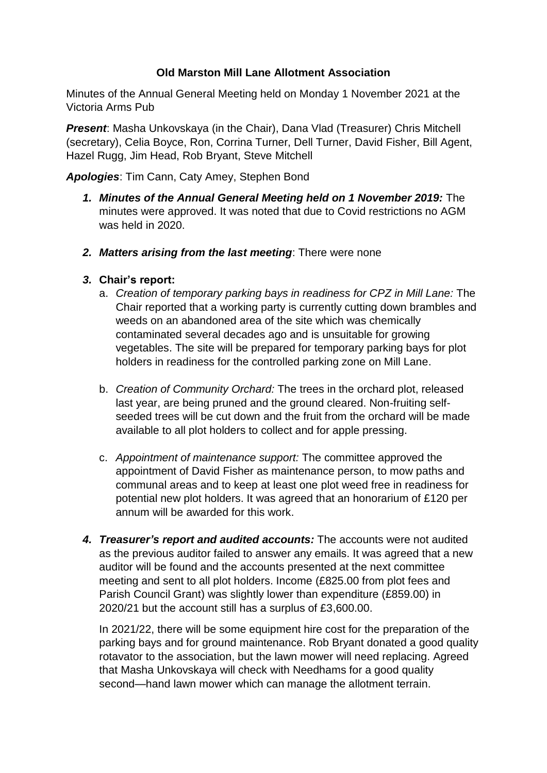## **Old Marston Mill Lane Allotment Association**

Minutes of the Annual General Meeting held on Monday 1 November 2021 at the Victoria Arms Pub

*Present*: Masha Unkovskaya (in the Chair), Dana Vlad (Treasurer) Chris Mitchell (secretary), Celia Boyce, Ron, Corrina Turner, Dell Turner, David Fisher, Bill Agent, Hazel Rugg, Jim Head, Rob Bryant, Steve Mitchell

*Apologies*: Tim Cann, Caty Amey, Stephen Bond

- *1. Minutes of the Annual General Meeting held on 1 November 2019:* The minutes were approved. It was noted that due to Covid restrictions no AGM was held in 2020.
- *2. Matters arising from the last meeting*: There were none

## *3.* **Chair's report:**

- a. *Creation of temporary parking bays in readiness for CPZ in Mill Lane:* The Chair reported that a working party is currently cutting down brambles and weeds on an abandoned area of the site which was chemically contaminated several decades ago and is unsuitable for growing vegetables. The site will be prepared for temporary parking bays for plot holders in readiness for the controlled parking zone on Mill Lane.
- b. *Creation of Community Orchard:* The trees in the orchard plot, released last year, are being pruned and the ground cleared. Non-fruiting selfseeded trees will be cut down and the fruit from the orchard will be made available to all plot holders to collect and for apple pressing.
- c. *Appointment of maintenance support:* The committee approved the appointment of David Fisher as maintenance person, to mow paths and communal areas and to keep at least one plot weed free in readiness for potential new plot holders. It was agreed that an honorarium of £120 per annum will be awarded for this work.
- *4. Treasurer's report and audited accounts:* The accounts were not audited as the previous auditor failed to answer any emails. It was agreed that a new auditor will be found and the accounts presented at the next committee meeting and sent to all plot holders. Income (£825.00 from plot fees and Parish Council Grant) was slightly lower than expenditure (£859.00) in 2020/21 but the account still has a surplus of £3,600.00.

In 2021/22, there will be some equipment hire cost for the preparation of the parking bays and for ground maintenance. Rob Bryant donated a good quality rotavator to the association, but the lawn mower will need replacing. Agreed that Masha Unkovskaya will check with Needhams for a good quality second—hand lawn mower which can manage the allotment terrain.